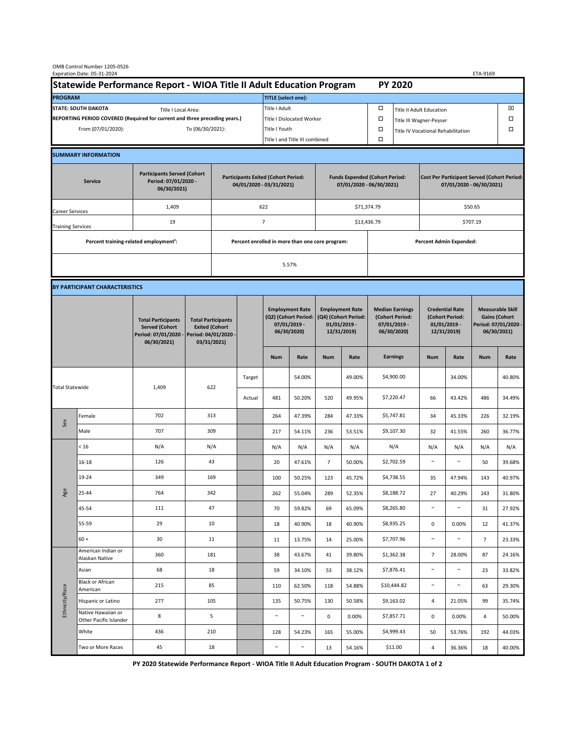| OMB Control Number 1205-0526<br>Expiration Date: 05-31-2024<br>ETA-9169                     |                                                    |                                                                                           |                                                                                           |                                                                        |        |                                                                                 |        |                                                                                 |        |                                                                            |                                |                                                                                |        |                                                                                        |        |  |
|---------------------------------------------------------------------------------------------|----------------------------------------------------|-------------------------------------------------------------------------------------------|-------------------------------------------------------------------------------------------|------------------------------------------------------------------------|--------|---------------------------------------------------------------------------------|--------|---------------------------------------------------------------------------------|--------|----------------------------------------------------------------------------|--------------------------------|--------------------------------------------------------------------------------|--------|----------------------------------------------------------------------------------------|--------|--|
| Statewide Performance Report - WIOA Title II Adult Education Program                        |                                                    |                                                                                           |                                                                                           |                                                                        |        |                                                                                 |        |                                                                                 |        |                                                                            | <b>PY 2020</b>                 |                                                                                |        |                                                                                        |        |  |
| <b>PROGRAM</b>                                                                              |                                                    |                                                                                           |                                                                                           |                                                                        |        | <b>TITLE</b> (select one):                                                      |        |                                                                                 |        |                                                                            |                                |                                                                                |        |                                                                                        |        |  |
| <b>STATE: SOUTH DAKOTA</b><br>Title I Local Area:                                           |                                                    |                                                                                           |                                                                                           |                                                                        |        | Title I Adult                                                                   |        |                                                                                 |        | □<br><b>Title II Adult Education</b>                                       |                                |                                                                                |        |                                                                                        | ⊠      |  |
| REPORTING PERIOD COVERED (Required for current and three preceding years.)                  |                                                    |                                                                                           |                                                                                           |                                                                        |        | Title I Dislocated Worker                                                       |        |                                                                                 |        | Ω                                                                          | □<br>Title III Wagner-Peyser   |                                                                                |        |                                                                                        |        |  |
| From (07/01/2020):                                                                          |                                                    |                                                                                           | To (06/30/2021):                                                                          |                                                                        |        | Title I Youth                                                                   |        |                                                                                 | $\Box$ |                                                                            |                                | Title IV Vocational Rehabilitation                                             |        |                                                                                        | □      |  |
|                                                                                             |                                                    |                                                                                           |                                                                                           |                                                                        |        | Title I and Title III combined                                                  |        |                                                                                 |        | Ω                                                                          |                                |                                                                                |        |                                                                                        |        |  |
|                                                                                             | <b>SUMMARY INFORMATION</b>                         |                                                                                           |                                                                                           |                                                                        |        |                                                                                 |        |                                                                                 |        |                                                                            |                                |                                                                                |        |                                                                                        |        |  |
| <b>Participants Served (Cohort</b><br>Period: 07/01/2020 -<br><b>Service</b><br>06/30/2021) |                                                    |                                                                                           |                                                                                           | <b>Participants Exited (Cohort Period:</b><br>04/01/2020 - 03/31/2021) |        |                                                                                 |        | <b>Funds Expended (Cohort Period:</b><br>07/01/2020 - 06/30/2021)               |        |                                                                            |                                | <b>Cost Per Participant Served (Cohort Period:</b><br>07/01/2020 - 06/30/2021) |        |                                                                                        |        |  |
| Career Services                                                                             |                                                    | 1,409                                                                                     |                                                                                           |                                                                        |        | 622                                                                             |        |                                                                                 |        | \$71,374.79                                                                |                                | \$50.65                                                                        |        |                                                                                        |        |  |
| <b>Training Services</b>                                                                    |                                                    | 19                                                                                        |                                                                                           | $\overline{7}$                                                         |        |                                                                                 |        |                                                                                 |        | \$13,436.79                                                                |                                | \$707.19                                                                       |        |                                                                                        |        |  |
|                                                                                             | Percent training-related employment <sup>1</sup> : |                                                                                           | Percent enrolled in more than one core program:                                           |                                                                        |        |                                                                                 |        |                                                                                 |        |                                                                            | <b>Percent Admin Expended:</b> |                                                                                |        |                                                                                        |        |  |
|                                                                                             |                                                    |                                                                                           |                                                                                           |                                                                        | 5.57%  |                                                                                 |        |                                                                                 |        |                                                                            |                                |                                                                                |        |                                                                                        |        |  |
|                                                                                             |                                                    |                                                                                           |                                                                                           |                                                                        |        |                                                                                 |        |                                                                                 |        |                                                                            |                                |                                                                                |        |                                                                                        |        |  |
|                                                                                             | BY PARTICIPANT CHARACTERISTICS                     |                                                                                           |                                                                                           |                                                                        |        |                                                                                 |        |                                                                                 |        |                                                                            |                                |                                                                                |        |                                                                                        |        |  |
|                                                                                             |                                                    | <b>Total Participants</b><br><b>Served (Cohort</b><br>Period: 07/01/2020 -<br>06/30/2021) | <b>Total Participants</b><br><b>Exited (Cohort</b><br>Period: 04/01/2020 -<br>03/31/2021) |                                                                        |        | <b>Employment Rate</b><br>(Q2) (Cohort Period:<br>$07/01/2019$ -<br>06/30/2020) |        | <b>Employment Rate</b><br>(Q4) (Cohort Period:<br>$01/01/2019$ -<br>12/31/2019) |        | <b>Median Earnings</b><br>(Cohort Period:<br>$07/01/2019 -$<br>06/30/2020) |                                | <b>Credential Rate</b><br>(Cohort Period:<br>$01/01/2019$ -<br>12/31/2019)     |        | <b>Measurable Skill</b><br><b>Gains (Cohort</b><br>Period: 07/01/2020 -<br>06/30/2021) |        |  |
|                                                                                             |                                                    |                                                                                           |                                                                                           |                                                                        |        | <b>Num</b>                                                                      | Rate   | <b>Num</b>                                                                      | Rate   |                                                                            | <b>Earnings</b>                | <b>Num</b>                                                                     | Rate   | <b>Num</b>                                                                             | Rate   |  |
| <b>Total Statewide</b>                                                                      |                                                    | 1,409                                                                                     | 622                                                                                       |                                                                        | Target |                                                                                 | 54.00% |                                                                                 | 49.00% |                                                                            | \$4,900.00                     |                                                                                | 34.00% |                                                                                        | 40.80% |  |
|                                                                                             |                                                    |                                                                                           |                                                                                           |                                                                        | Actual | 481                                                                             | 50.20% | 520                                                                             | 49.95% |                                                                            | \$7,220.47                     | 66                                                                             | 43.42% | 486                                                                                    | 34.49% |  |
| Sex                                                                                         | Female                                             | 702                                                                                       | 313                                                                                       |                                                                        |        | 264                                                                             | 47.39% | 284                                                                             | 47.33% |                                                                            | \$5,747.81                     | 34                                                                             | 45.33% | 226                                                                                    | 32.19% |  |
|                                                                                             | Male                                               | 707                                                                                       | 309                                                                                       |                                                                        |        | 217                                                                             | 54.11% | 236                                                                             | 53.51% |                                                                            | \$9,107.30                     | 32                                                                             | 41.55% | 260                                                                                    | 36.77% |  |
| Age                                                                                         | < 16                                               | N/A                                                                                       | N/A                                                                                       |                                                                        |        | N/A                                                                             | N/A    | N/A                                                                             | N/A    |                                                                            | N/A                            | N/A                                                                            | N/A    | N/A                                                                                    | N/A    |  |
|                                                                                             | $16 - 18$                                          | 126                                                                                       | 43                                                                                        |                                                                        |        | 20                                                                              | 47.61% | $\overline{7}$                                                                  | 50.00% |                                                                            | \$2,702.59                     | $\sim$                                                                         | $\sim$ | 50                                                                                     | 39.68% |  |
|                                                                                             | 19-24                                              | 349                                                                                       | 169                                                                                       |                                                                        |        | 100                                                                             | 50.25% | 123                                                                             | 45.72% |                                                                            | \$4,738.55                     | 35                                                                             | 47.94% | 143                                                                                    | 40.97% |  |
|                                                                                             | 25-44                                              | 764                                                                                       | 342                                                                                       |                                                                        |        | 262                                                                             | 55.04% | 289                                                                             | 52.35% |                                                                            | \$8,188.72                     | 27                                                                             | 40.29% | 243                                                                                    | 31.80% |  |
|                                                                                             | 45-54                                              | 111                                                                                       | 47                                                                                        |                                                                        |        | 70                                                                              | 59.82% | 69                                                                              | 65.09% |                                                                            | \$8,265.80                     | $\sim$                                                                         | $\sim$ | 31                                                                                     | 27.92% |  |
|                                                                                             | 55-59                                              | 29                                                                                        | 10                                                                                        |                                                                        |        | 18                                                                              | 40.90% | 18                                                                              | 40.90% |                                                                            | \$8,935.25                     | $\mathbf 0$                                                                    | 0.00%  | 12                                                                                     | 41.37% |  |
|                                                                                             | $60 +$                                             | 30                                                                                        | 11                                                                                        |                                                                        |        | 11                                                                              | 13.75% | 14                                                                              | 25.00% |                                                                            | \$7,707.96                     | $\sim$                                                                         | $\sim$ | $\overline{7}$                                                                         | 23.33% |  |
| Ethnicity/Race                                                                              | American Indian or<br>Alaskan Native               | 360                                                                                       | 181                                                                                       |                                                                        |        | 38                                                                              | 43.67% | 41                                                                              | 39.80% |                                                                            | \$1,362.38                     | $\overline{7}$                                                                 | 28.00% | 87                                                                                     | 24.16% |  |
|                                                                                             | Asian                                              | 68                                                                                        | 18                                                                                        |                                                                        |        | 59                                                                              | 34.10% | 53                                                                              | 38.12% |                                                                            | \$7,876.41                     | $\sim$                                                                         | $\sim$ | 23                                                                                     | 33.82% |  |
|                                                                                             | <b>Black or African</b><br>American                | 215                                                                                       | 85                                                                                        |                                                                        |        | 110                                                                             | 62.50% | 118                                                                             | 54.88% |                                                                            | \$10,444.82                    | $\sim$                                                                         | $\sim$ | 63                                                                                     | 29.30% |  |
|                                                                                             | Hispanic or Latino                                 | 277                                                                                       | 105                                                                                       |                                                                        |        | 135                                                                             | 50.75% | 130                                                                             | 50.58% |                                                                            | \$9,163.02                     | 4                                                                              | 21.05% | 99                                                                                     | 35.74% |  |
|                                                                                             | Native Hawaiian or<br>Other Pacific Islander       | 8                                                                                         | 5                                                                                         |                                                                        |        | $\sim$                                                                          | $\sim$ | 0                                                                               | 0.00%  |                                                                            | \$7,857.71                     | $\mathbf 0$                                                                    | 0.00%  | 4                                                                                      | 50.00% |  |
|                                                                                             | White                                              | 436                                                                                       | 210                                                                                       |                                                                        |        | 128                                                                             | 54.23% | 165                                                                             | 55.00% |                                                                            | \$4,999.43                     | 50                                                                             | 53.76% | 192                                                                                    | 44.03% |  |
|                                                                                             | Two or More Races                                  | 45                                                                                        | 18                                                                                        |                                                                        |        | $\sim$                                                                          | $\sim$ | 13                                                                              | 54.16% |                                                                            | \$11.00                        | 4                                                                              | 36.36% | 18                                                                                     | 40.00% |  |

**PY 2020 Statewide Performance Report - WIOA Title II Adult Education Program - SOUTH DAKOTA 1 of 2**